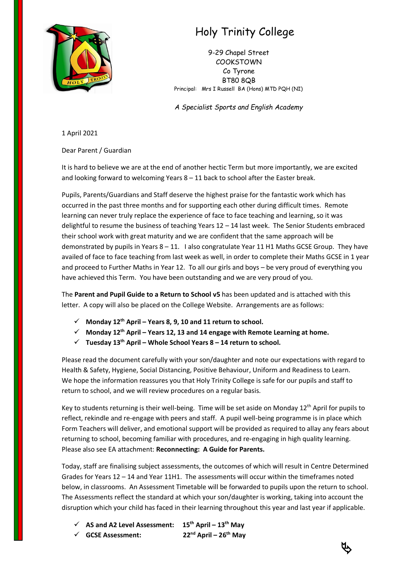

## Holy Trinity College

9-29 Chapel Street COOKSTOWN Co Tyrone BT80 8QB Principal: Mrs I Russell BA (Hons) MTD PQH (NI)

*A Specialist Sports and English Academy*

1 April 2021

Dear Parent / Guardian

It is hard to believe we are at the end of another hectic Term but more importantly, we are excited and looking forward to welcoming Years 8 – 11 back to school after the Easter break.

Pupils, Parents/Guardians and Staff deserve the highest praise for the fantastic work which has occurred in the past three months and for supporting each other during difficult times. Remote learning can never truly replace the experience of face to face teaching and learning, so it was delightful to resume the business of teaching Years 12 – 14 last week. The Senior Students embraced their school work with great maturity and we are confident that the same approach will be demonstrated by pupils in Years  $8 - 11$ . I also congratulate Year 11 H1 Maths GCSE Group. They have availed of face to face teaching from last week as well, in order to complete their Maths GCSE in 1 year and proceed to Further Maths in Year 12. To all our girls and boys – be very proud of everything you have achieved this Term. You have been outstanding and we are very proud of you.

The **Parent and Pupil Guide to a Return to School v5** has been updated and is attached with this letter. A copy will also be placed on the College Website. Arrangements are as follows:

- ✓ **Monday 12th April – Years 8, 9, 10 and 11 return to school.**
- ✓ **Monday 12th April – Years 12, 13 and 14 engage with Remote Learning at home.**
- ✓ **Tuesday 13th April – Whole School Years 8 – 14 return to school.**

Please read the document carefully with your son/daughter and note our expectations with regard to Health & Safety, Hygiene, Social Distancing, Positive Behaviour, Uniform and Readiness to Learn. We hope the information reassures you that Holy Trinity College is safe for our pupils and staff to return to school, and we will review procedures on a regular basis.

Key to students returning is their well-being. Time will be set aside on Monday  $12<sup>th</sup>$  April for pupils to reflect, rekindle and re-engage with peers and staff. A pupil well-being programme is in place which Form Teachers will deliver, and emotional support will be provided as required to allay any fears about returning to school, becoming familiar with procedures, and re-engaging in high quality learning. Please also see EA attachment: **Reconnecting: A Guide for Parents.**

Today, staff are finalising subject assessments, the outcomes of which will result in Centre Determined Grades for Years 12 – 14 and Year 11H1. The assessments will occur within the timeframes noted below, in classrooms. An Assessment Timetable will be forwarded to pupils upon the return to school. The Assessments reflect the standard at which your son/daughter is working, taking into account the disruption which your child has faced in their learning throughout this year and last year if applicable.

✓ **AS and A2 Level Assessment: 15th April – 13th May** ✓ **GCSE Assessment: 22nd April – 26th May**